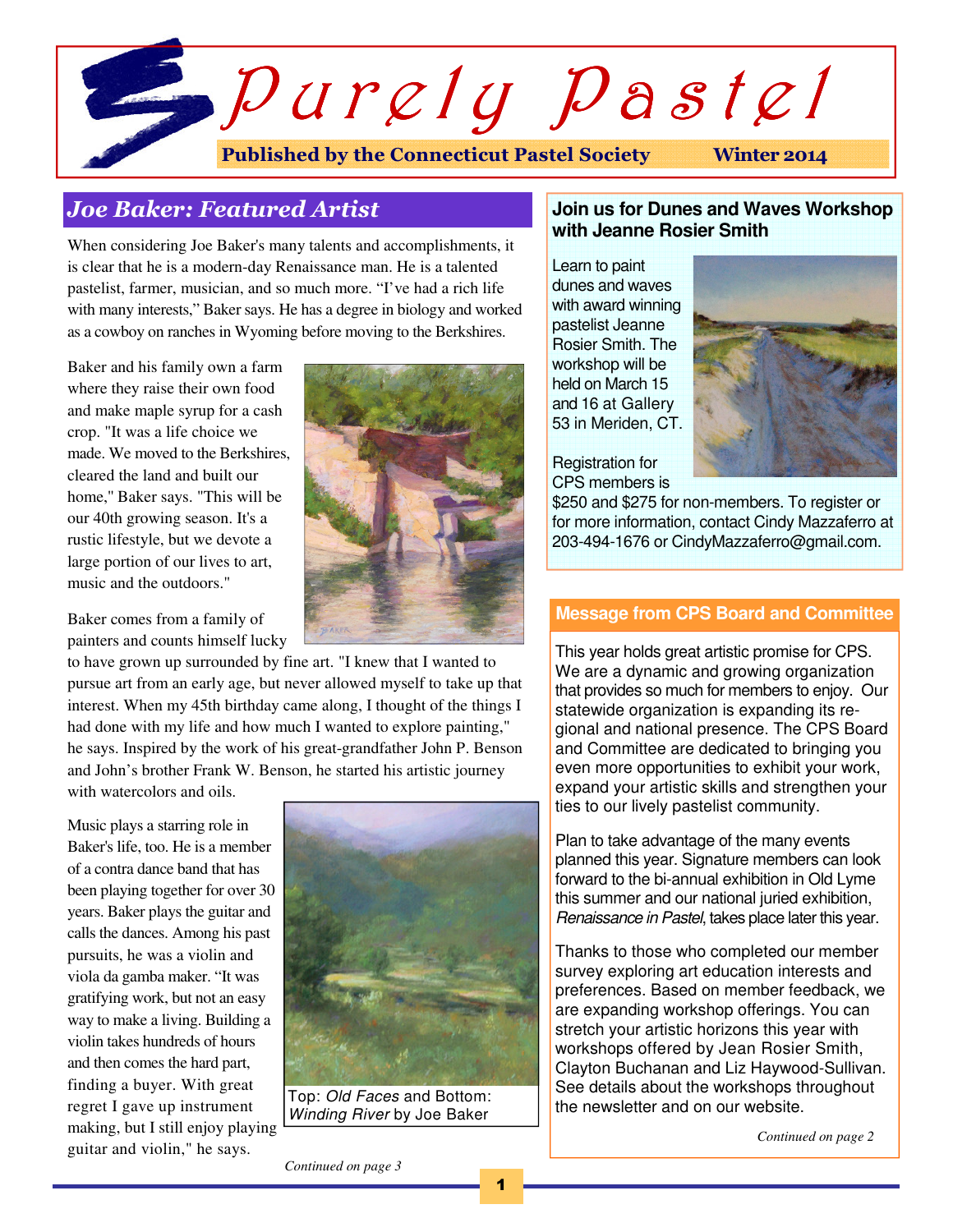

# Joe Baker: Featured Artist

When considering Joe Baker's many talents and accomplishments, it is clear that he is a modern-day Renaissance man. He is a talented pastelist, farmer, musician, and so much more. "I've had a rich life with many interests," Baker says. He has a degree in biology and worked as a cowboy on ranches in Wyoming before moving to the Berkshires.

Baker and his family own a farm where they raise their own food and make maple syrup for a cash crop. "It was a life choice we made. We moved to the Berkshires, cleared the land and built our home,'' Baker says. "This will be our 40th growing season. It's a rustic lifestyle, but we devote a large portion of our lives to art, music and the outdoors."

Baker comes from a family of painters and counts himself lucky

to have grown up surrounded by fine art. "I knew that I wanted to pursue art from an early age, but never allowed myself to take up that interest. When my 45th birthday came along, I thought of the things I had done with my life and how much I wanted to explore painting," he says. Inspired by the work of his great-grandfather John P. Benson and John's brother Frank W. Benson, he started his artistic journey with watercolors and oils.

Music plays a starring role in Baker's life, too. He is a member of a contra dance band that has been playing together for over 30 years. Baker plays the guitar and calls the dances. Among his past pursuits, he was a violin and viola da gamba maker. "It was gratifying work, but not an easy way to make a living. Building a violin takes hundreds of hours and then comes the hard part, finding a buyer. With great regret I gave up instrument making, but I still enjoy playing guitar and violin," he says.



Top: Old Faces and Bottom: Winding River by Joe Baker

## **Join us for Dunes and Waves Workshop with Jeanne Rosier Smith**

Learn to paint dunes and waves with award winning pastelist Jeanne Rosier Smith. The workshop will be held on March 15 and 16 at Gallery 53 in Meriden, CT.



Registration for CPS members is

\$250 and \$275 for non-members. To register or for more information, contact Cindy Mazzaferro at 203-494-1676 or CindyMazzaferro@gmail.com.

## **Message from CPS Board and Committee**

This year holds great artistic promise for CPS. We are a dynamic and growing organization that provides so much for members to enjoy. Our statewide organization is expanding its regional and national presence. The CPS Board and Committee are dedicated to bringing you even more opportunities to exhibit your work, expand your artistic skills and strengthen your ties to our lively pastelist community.

Plan to take advantage of the many events planned this year. Signature members can look forward to the bi-annual exhibition in Old Lyme this summer and our national juried exhibition, Renaissance in Pastel, takes place later this year.

Thanks to those who completed our member survey exploring art education interests and preferences. Based on member feedback, we are expanding workshop offerings. You can stretch your artistic horizons this year with workshops offered by Jean Rosier Smith, Clayton Buchanan and Liz Haywood-Sullivan. See details about the workshops throughout the newsletter and on our website.

*Continued on page 2* 

*Continued on page 3*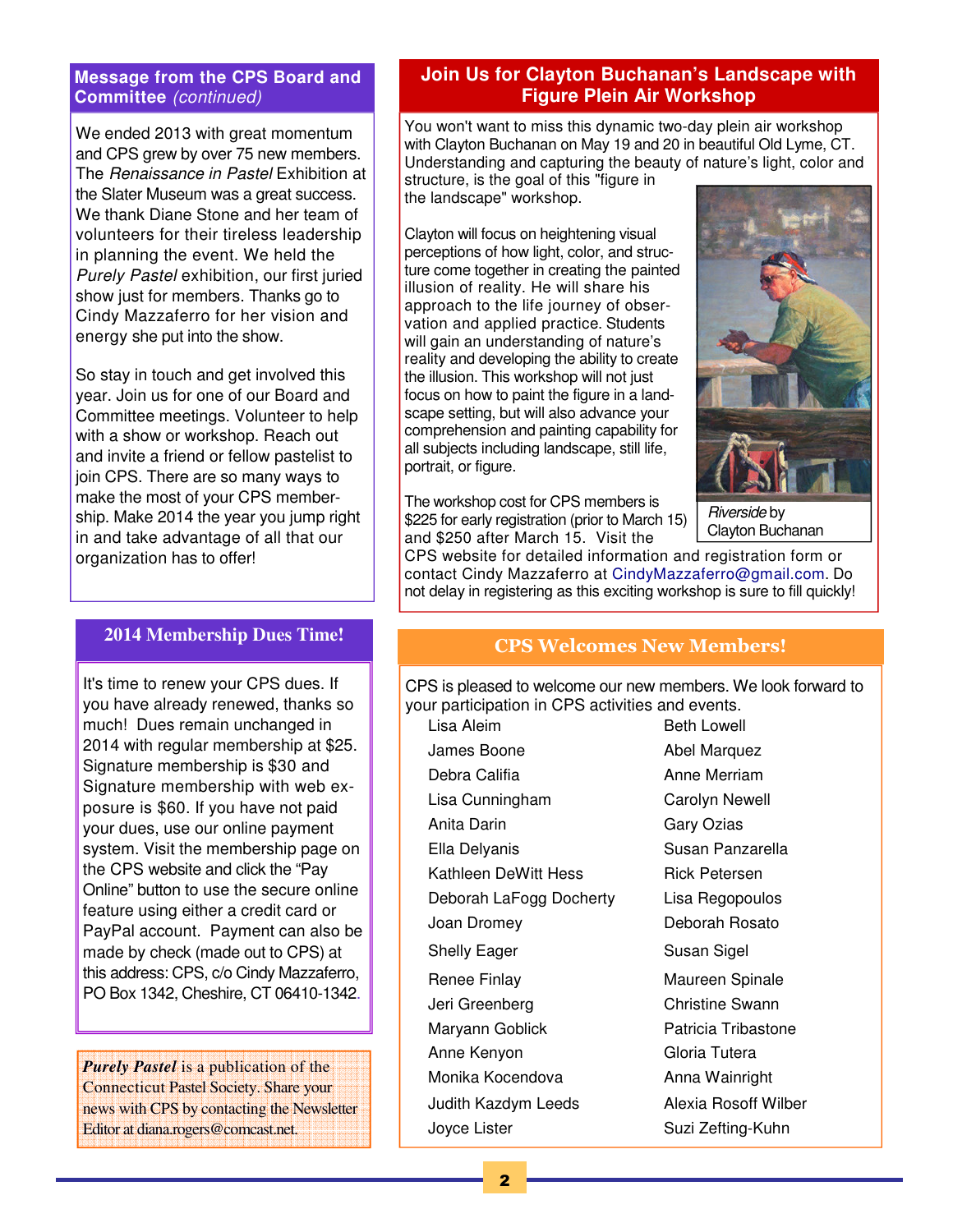#### **Message from the CPS Board and Committee** (continued)

We ended 2013 with great momentum and CPS grew by over 75 new members. The Renaissance in Pastel Exhibition at the Slater Museum was a great success. We thank Diane Stone and her team of volunteers for their tireless leadership in planning the event. We held the Purely Pastel exhibition, our first juried show just for members. Thanks go to Cindy Mazzaferro for her vision and energy she put into the show.

So stay in touch and get involved this year. Join us for one of our Board and Committee meetings. Volunteer to help with a show or workshop. Reach out and invite a friend or fellow pastelist to join CPS. There are so many ways to make the most of your CPS membership. Make 2014 the year you jump right in and take advantage of all that our organization has to offer!

#### **2014 Membership Dues Time!**

It's time to renew your CPS dues. If you have already renewed, thanks so much! Dues remain unchanged in 2014 with regular membership at \$25. Signature membership is \$30 and Signature membership with web exposure is \$60. If you have not paid your dues, use our online payment system. Visit the membership page on the CPS website and click the "Pay Online" button to use the secure online feature using either a credit card or PayPal account. Payment can also be made by check (made out to CPS) at this address: CPS, c/o Cindy Mazzaferro, PO Box 1342, Cheshire, CT 06410-1342.

*Purely Pastel* is a publication of the Connecticut Pastel Society. Share your news with CPS by contacting the Newsletter Editor at diana.rogers@comcast.net.

## **Join Us for Clayton Buchanan's Landscape with Figure Plein Air Workshop**

You won't want to miss this dynamic two-day plein air workshop with Clayton Buchanan on May 19 and 20 in beautiful Old Lyme, CT. Understanding and capturing the beauty of nature's light, color and structure, is the goal of this "figure in

the landscape" workshop.

Clayton will focus on heightening visual perceptions of how light, color, and structure come together in creating the painted illusion of reality. He will share his approach to the life journey of observation and applied practice. Students will gain an understanding of nature's reality and developing the ability to create the illusion. This workshop will not just focus on how to paint the figure in a landscape setting, but will also advance your comprehension and painting capability for all subjects including landscape, still life, portrait, or figure.

The workshop cost for CPS members is \$225 for early registration (prior to March 15) and \$250 after March 15. Visit the

Riverside by Clayton Buchanan

CPS website for detailed information and registration form or contact Cindy Mazzaferro at CindyMazzaferro@gmail.com. Do not delay in registering as this exciting workshop is sure to fill quickly!

## CPS Welcomes New Members!

CPS is pleased to welcome our new members. We look forward to your participation in CPS activities and events.

Lisa Aleim Beth Lowell James Boone **Abel Marquez** Debra Califia **Anne Merriam** Lisa Cunningham Carolyn Newell Anita Darin **Gary Ozias** Ella Delyanis **Susan Panzarella** Kathleen DeWitt Hess Rick Petersen Deborah LaFogg Docherty Lisa Regopoulos Joan Dromey Deborah Rosato Shelly Eager Susan Sigel Renee Finlay Maureen Spinale Jeri Greenberg Christine Swann Maryann Goblick **Patricia Tribastone** Anne Kenyon Gloria Tutera Monika Kocendova **Anna Wainright** Judith Kazdym Leeds Alexia Rosoff Wilber Joyce Lister Suzi Zefting-Kuhn

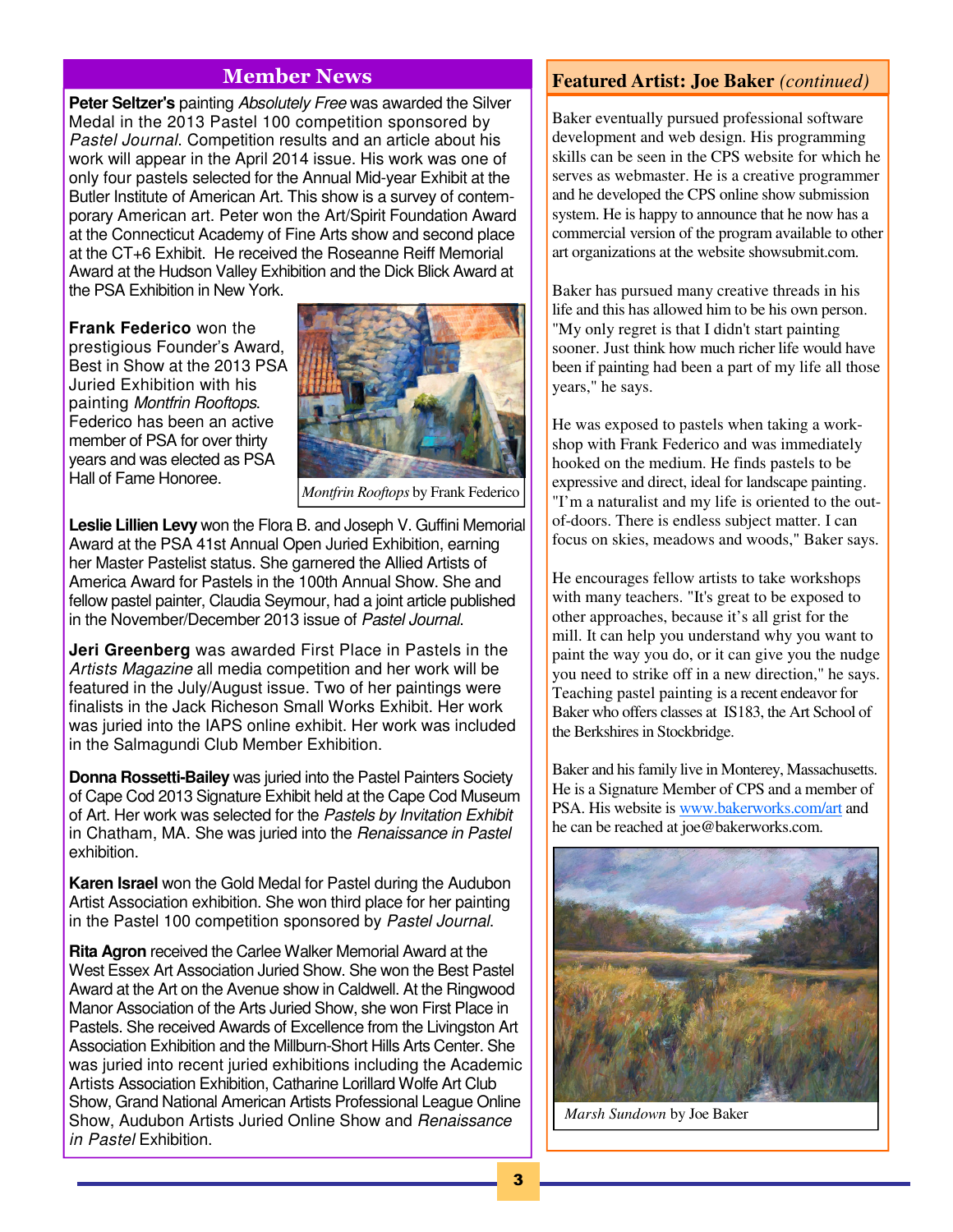## Member News

**Peter Seltzer's** painting Absolutely Free was awarded the Silver Medal in the 2013 Pastel 100 competition sponsored by Pastel Journal. Competition results and an article about his work will appear in the April 2014 issue. His work was one of only four pastels selected for the Annual Mid-year Exhibit at the Butler Institute of American Art. This show is a survey of contemporary American art. Peter won the Art/Spirit Foundation Award at the Connecticut Academy of Fine Arts show and second place at the CT+6 Exhibit. He received the Roseanne Reiff Memorial Award at the Hudson Valley Exhibition and the Dick Blick Award at the PSA Exhibition in New York.

**Frank Federico** won the prestigious Founder's Award, Best in Show at the 2013 PSA Juried Exhibition with his painting Montfrin Rooftops. Federico has been an active member of PSA for over thirty years and was elected as PSA Hall of Fame Honoree.



*Montfrin Rooftops* by Frank Federico

**Leslie Lillien Levy** won the Flora B. and Joseph V. Guffini Memorial Award at the PSA 41st Annual Open Juried Exhibition, earning her Master Pastelist status. She garnered the Allied Artists of America Award for Pastels in the 100th Annual Show. She and fellow pastel painter, Claudia Seymour, had a joint article published in the November/December 2013 issue of Pastel Journal.

**Jeri Greenberg** was awarded First Place in Pastels in the Artists Magazine all media competition and her work will be featured in the July/August issue. Two of her paintings were finalists in the Jack Richeson Small Works Exhibit. Her work was juried into the IAPS online exhibit. Her work was included in the Salmagundi Club Member Exhibition.

**Donna Rossetti-Bailey** was juried into the Pastel Painters Society of Cape Cod 2013 Signature Exhibit held at the Cape Cod Museum of Art. Her work was selected for the Pastels by Invitation Exhibit in Chatham, MA. She was juried into the Renaissance in Pastel exhibition.

**Karen Israel** won the Gold Medal for Pastel during the Audubon Artist Association exhibition. She won third place for her painting in the Pastel 100 competition sponsored by Pastel Journal.

**Rita Agron** received the Carlee Walker Memorial Award at the West Essex Art Association Juried Show. She won the Best Pastel Award at the Art on the Avenue show in Caldwell. At the Ringwood Manor Association of the Arts Juried Show, she won First Place in Pastels. She received Awards of Excellence from the Livingston Art Association Exhibition and the Millburn-Short Hills Arts Center. She was juried into recent juried exhibitions including the Academic Artists Association Exhibition, Catharine Lorillard Wolfe Art Club Show, Grand National American Artists Professional League Online Show, Audubon Artists Juried Online Show and Renaissance in Pastel Exhibition.

## **Featured Artist: Joe Baker** *(continued)*

Baker eventually pursued professional software development and web design. His programming skills can be seen in the CPS website for which he serves as webmaster. He is a creative programmer and he developed the CPS online show submission system. He is happy to announce that he now has a commercial version of the program available to other art organizations at the website showsubmit.com.

Baker has pursued many creative threads in his life and this has allowed him to be his own person. "My only regret is that I didn't start painting sooner. Just think how much richer life would have been if painting had been a part of my life all those years," he says.

He was exposed to pastels when taking a workshop with Frank Federico and was immediately hooked on the medium. He finds pastels to be expressive and direct, ideal for landscape painting. "I'm a naturalist and my life is oriented to the outof-doors. There is endless subject matter. I can focus on skies, meadows and woods," Baker says.

He encourages fellow artists to take workshops with many teachers. "It's great to be exposed to other approaches, because it's all grist for the mill. It can help you understand why you want to paint the way you do, or it can give you the nudge you need to strike off in a new direction," he says. Teaching pastel painting is a recent endeavor for Baker who offers classes at IS183, the Art School of the Berkshires in Stockbridge.

Baker and his family live in Monterey, Massachusetts. He is a Signature Member of CPS and a member of PSA. His website is www.bakerworks.com/art and he can be reached at joe@bakerworks.com.



*Marsh Sundown* by Joe Baker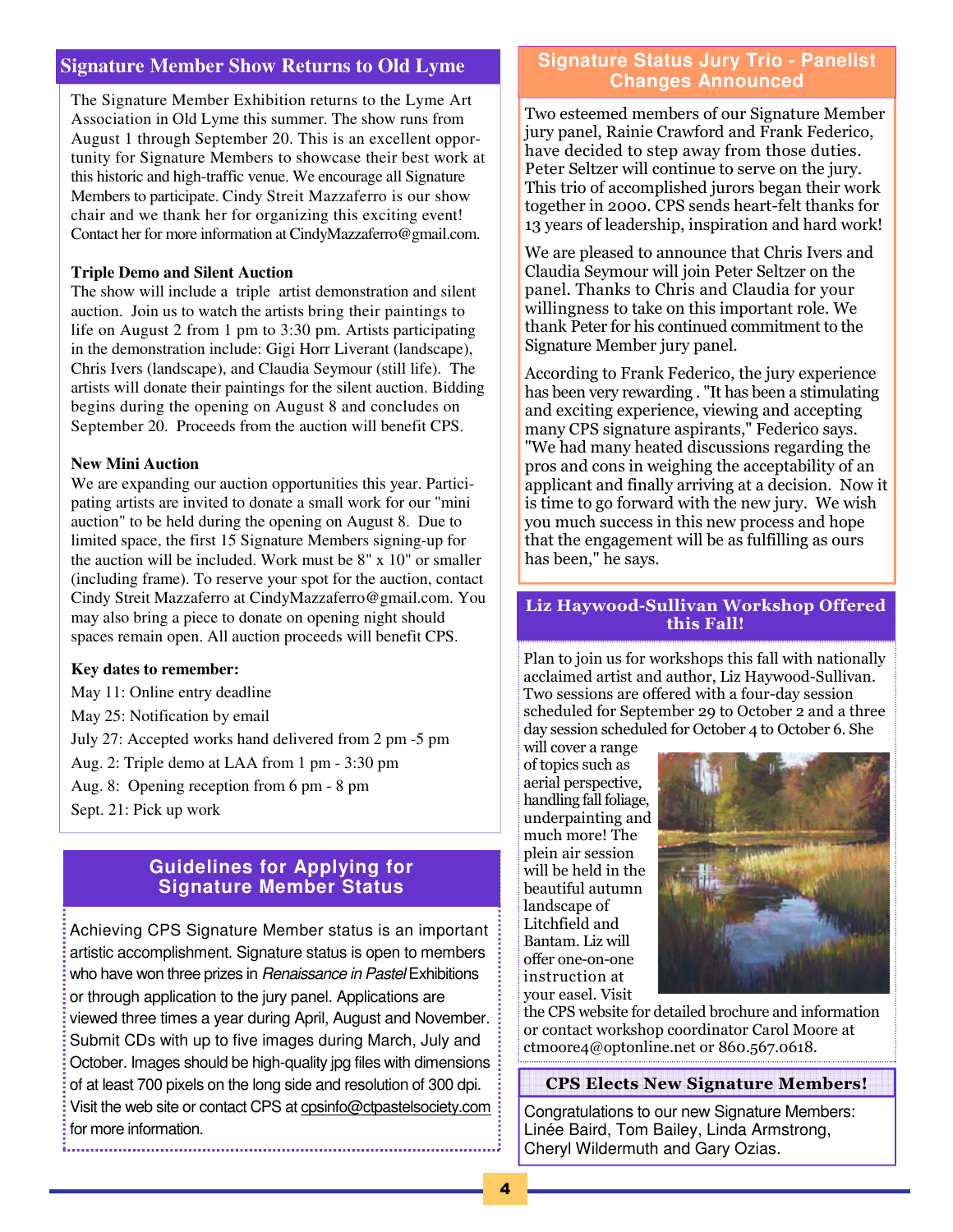## **Signature Member Show Returns to Old Lyme**

The Signature Member Exhibition returns to the Lyme Art Association in Old Lyme this summer. The show runs from August 1 through September 20. This is an excellent opportunity for Signature Members to showcase their best work at this historic and high-traffic venue. We encourage all Signature Members to participate. Cindy Streit Mazzaferro is our show chair and we thank her for organizing this exciting event! Contact her for more information at CindyMazzaferro@gmail.com.

#### **Triple Demo and Silent Auction**

The show will include a triple artist demonstration and silent auction. Join us to watch the artists bring their paintings to life on August 2 from 1 pm to 3:30 pm. Artists participating in the demonstration include: Gigi Horr Liverant (landscape), Chris Ivers (landscape), and Claudia Seymour (still life). The artists will donate their paintings for the silent auction. Bidding begins during the opening on August 8 and concludes on September 20. Proceeds from the auction will benefit CPS.

#### **New Mini Auction**

We are expanding our auction opportunities this year. Participating artists are invited to donate a small work for our "mini auction" to be held during the opening on August 8. Due to limited space, the first 15 Signature Members signing-up for the auction will be included. Work must be 8" x 10" or smaller (including frame). To reserve your spot for the auction, contact Cindy Streit Mazzaferro at CindyMazzaferro@gmail.com. You may also bring a piece to donate on opening night should spaces remain open. All auction proceeds will benefit CPS.

#### **Key dates to remember:**

May 11: Online entry deadline

May 25: Notification by email

July 27: Accepted works hand delivered from 2 pm -5 pm

Aug. 2: Triple demo at LAA from 1 pm - 3:30 pm

Aug. 8: Opening reception from 6 pm - 8 pm

Sept. 21: Pick up work

## **Guidelines for Applying for Signature Member Status**

Achieving CPS Signature Member status is an important artistic accomplishment. Signature status is open to members who have won three prizes in Renaissance in Pastel Exhibitions or through application to the jury panel. Applications are viewed three times a year during April, August and November. Submit CDs with up to five images during March, July and October. Images should be high-quality jpg files with dimensions of at least 700 pixels on the long side and resolution of 300 dpi. Visit the web site or contact CPS at cpsinfo@ctpastelsociety.com for more information. 

## **Signature Status Jury Trio - Panelist Changes Announced**

Two esteemed members of our Signature Member jury panel, Rainie Crawford and Frank Federico, have decided to step away from those duties. Peter Seltzer will continue to serve on the jury. This trio of accomplished jurors began their work together in 2000. CPS sends heart-felt thanks for 13 years of leadership, inspiration and hard work!

We are pleased to announce that Chris Ivers and Claudia Seymour will join Peter Seltzer on the panel. Thanks to Chris and Claudia for your willingness to take on this important role. We thank Peter for his continued commitment to the Signature Member jury panel.

According to Frank Federico, the jury experience has been very rewarding . "It has been a stimulating and exciting experience, viewing and accepting many CPS signature aspirants," Federico says. "We had many heated discussions regarding the pros and cons in weighing the acceptability of an applicant and finally arriving at a decision. Now it is time to go forward with the new jury. We wish you much success in this new process and hope that the engagement will be as fulfilling as ours has been," he says.

## Liz Haywood-Sullivan Workshop Offered this Fall!

Plan to join us for workshops this fall with nationally acclaimed artist and author, Liz Haywood-Sullivan. Two sessions are offered with a four-day session scheduled for September 29 to October 2 and a three day session scheduled for October 4 to October 6. She

will cover a range of topics such as aerial perspective, handling fall foliage, underpainting and much more! The plein air session will be held in the beautiful autumn landscape of Litchfield and Bantam. Liz will offer one-on-one instruction at your easel. Visit



the CPS website for detailed brochure and information or contact workshop coordinator Carol Moore at ctmoore4@optonline.net or 860.567.0618.

#### CPS Elects New Signature Members!

Congratulations to our new Signature Members: Linée Baird, Tom Bailey, Linda Armstrong, Cheryl Wildermuth and Gary Ozias.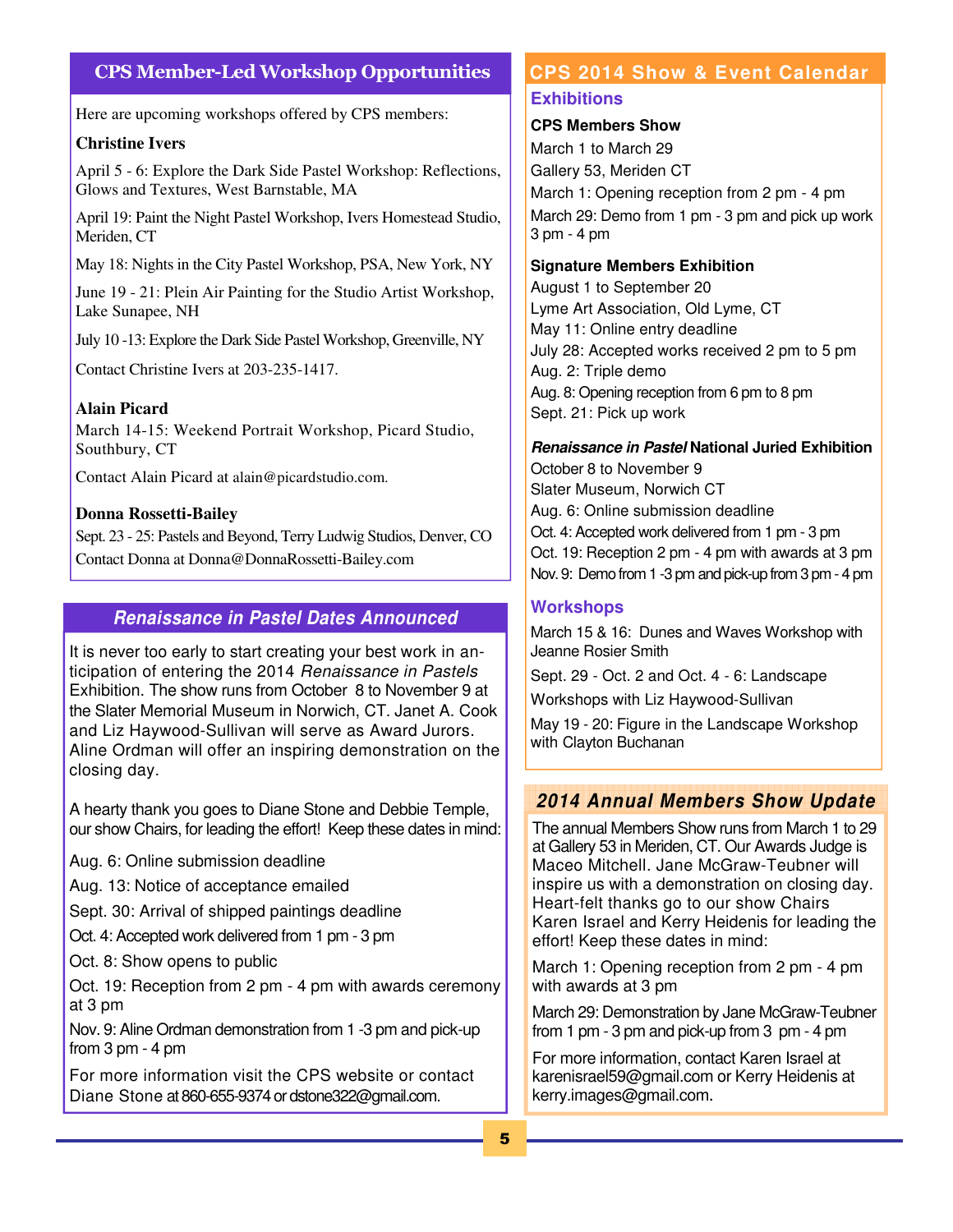## CPS Member-Led Workshop Opportunities

Here are upcoming workshops offered by CPS members:

#### **Christine Ivers**

April 5 - 6: Explore the Dark Side Pastel Workshop: Reflections, Glows and Textures, West Barnstable, MA

April 19: Paint the Night Pastel Workshop, Ivers Homestead Studio, Meriden, CT

May 18: Nights in the City Pastel Workshop, PSA, New York, NY

June 19 - 21: Plein Air Painting for the Studio Artist Workshop, Lake Sunapee, NH

July 10 -13: Explore the Dark Side Pastel Workshop, Greenville, NY

Contact Christine Ivers at 203-235-1417.

#### **Alain Picard**

March 14-15: Weekend Portrait Workshop, Picard Studio, Southbury, CT

Contact Alain Picard at alain@picardstudio.com.

#### **Donna Rossetti-Bailey**

Sept. 23 - 25: Pastels and Beyond, Terry Ludwig Studios, Denver, CO Contact Donna at Donna@DonnaRossetti-Bailey.com

## **Renaissance in Pastel Dates Announced**

It is never too early to start creating your best work in anticipation of entering the 2014 Renaissance in Pastels Exhibition. The show runs from October 8 to November 9 at the Slater Memorial Museum in Norwich, CT. Janet A. Cook and Liz Haywood-Sullivan will serve as Award Jurors. Aline Ordman will offer an inspiring demonstration on the closing day.

A hearty thank you goes to Diane Stone and Debbie Temple, our show Chairs, for leading the effort! Keep these dates in mind:

Aug. 6: Online submission deadline

Aug. 13: Notice of acceptance emailed

Sept. 30: Arrival of shipped paintings deadline

Oct. 4: Accepted work delivered from 1 pm - 3 pm

Oct. 8: Show opens to public

Oct. 19: Reception from 2 pm - 4 pm with awards ceremony at 3 pm

Nov. 9: Aline Ordman demonstration from 1 -3 pm and pick-up from 3 pm - 4 pm

For more information visit the CPS website or contact Diane Stone at 860-655-9374 or dstone322@gmail.com.

# **CPS 2014 Show & Event Calendar**

#### **Exhibitions**

## **CPS Members Show**

March 1 to March 29 Gallery 53, Meriden CT March 1: Opening reception from 2 pm - 4 pm March 29: Demo from 1 pm - 3 pm and pick up work 3 pm - 4 pm

### **Signature Members Exhibition**

August 1 to September 20 Lyme Art Association, Old Lyme, CT May 11: Online entry deadline July 28: Accepted works received 2 pm to 5 pm Aug. 2: Triple demo Aug. 8: Opening reception from 6 pm to 8 pm Sept. 21: Pick up work

**Renaissance in Pastel National Juried Exhibition**  October 8 to November 9 Slater Museum, Norwich CT Aug. 6: Online submission deadline Oct. 4: Accepted work delivered from 1 pm - 3 pm Oct. 19: Reception 2 pm - 4 pm with awards at 3 pm Nov. 9: Demo from 1 -3 pm and pick-up from 3 pm - 4 pm

## **Workshops**

March 15 & 16: Dunes and Waves Workshop with Jeanne Rosier Smith

Sept. 29 - Oct. 2 and Oct. 4 - 6: Landscape

Workshops with Liz Haywood-Sullivan

May 19 - 20: Figure in the Landscape Workshop with Clayton Buchanan

## **2014 Annual Members Show Update**

The annual Members Show runs from March 1 to 29 at Gallery 53 in Meriden, CT. Our Awards Judge is Maceo Mitchell. Jane McGraw-Teubner will inspire us with a demonstration on closing day. Heart-felt thanks go to our show Chairs Karen Israel and Kerry Heidenis for leading the effort! Keep these dates in mind:

March 1: Opening reception from 2 pm - 4 pm with awards at 3 pm

March 29: Demonstration by Jane McGraw-Teubner from 1 pm - 3 pm and pick-up from 3 pm - 4 pm

For more information, contact Karen Israel at karenisrael59@gmail.com or Kerry Heidenis at kerry.images@gmail.com.